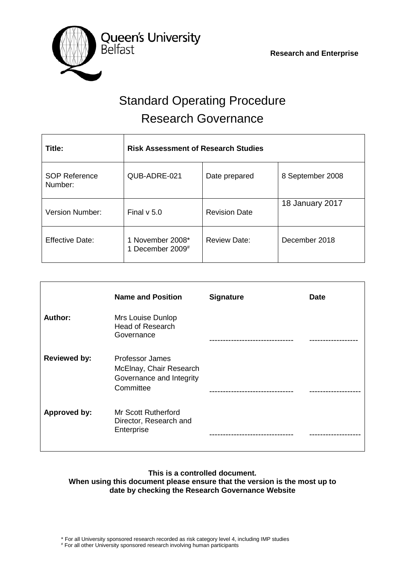

# Standard Operating Procedure Research Governance

| Title:                          | <b>Risk Assessment of Research Studies</b> |                      |                  |
|---------------------------------|--------------------------------------------|----------------------|------------------|
| <b>SOP Reference</b><br>Number: | QUB-ADRE-021                               | Date prepared        | 8 September 2008 |
| <b>Version Number:</b>          | Final $v$ 5.0                              | <b>Revision Date</b> | 18 January 2017  |
| <b>Effective Date:</b>          | 1 November 2008*<br>1 December 2009#       | <b>Review Date:</b>  | December 2018    |

|                     | <b>Name and Position</b>                                                            | <b>Signature</b> | <b>Date</b> |
|---------------------|-------------------------------------------------------------------------------------|------------------|-------------|
| Author:             | Mrs Louise Dunlop<br><b>Head of Research</b><br>Governance                          |                  |             |
| <b>Reviewed by:</b> | Professor James<br>McElnay, Chair Research<br>Governance and Integrity<br>Committee |                  |             |
| <b>Approved by:</b> | <b>Mr Scott Rutherford</b><br>Director, Research and<br>Enterprise                  |                  |             |

## **This is a controlled document. When using this document please ensure that the version is the most up to date by checking the Research Governance Website**

\* For all University sponsored research recorded as risk category level 4, including IMP studies

# For all other University sponsored research involving human participants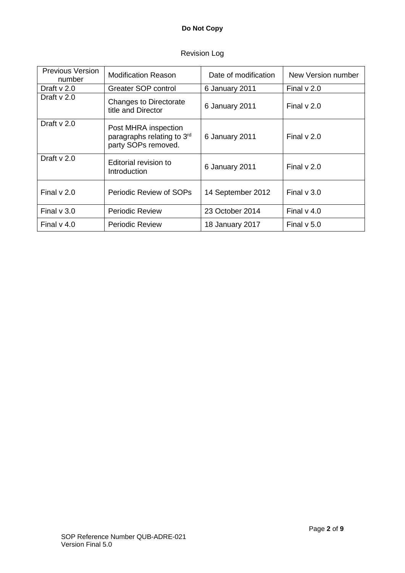| Previous Version<br>number | <b>Modification Reason</b>                                                | Date of modification | New Version number |
|----------------------------|---------------------------------------------------------------------------|----------------------|--------------------|
| Draft $\vee$ 2.0           | Greater SOP control                                                       | 6 January 2011       | Final $v$ 2.0      |
| Draft $\vee$ 2.0           | Changes to Directorate<br>title and Director                              | 6 January 2011       | Final $v$ 2.0      |
| Draft $v$ 2.0              | Post MHRA inspection<br>paragraphs relating to 3rd<br>party SOPs removed. | 6 January 2011       | Final $\vee$ 2.0   |
| Draft $v$ 2.0              | Editorial revision to<br><b>Introduction</b>                              | 6 January 2011       | Final $v$ 2.0      |
| Final $v$ 2.0              | Periodic Review of SOPs                                                   | 14 September 2012    | Final $v$ 3.0      |
| Final $v$ 3.0              | <b>Periodic Review</b>                                                    | 23 October 2014      | Final $v$ 4.0      |
| Final $v$ 4.0              | <b>Periodic Review</b>                                                    | 18 January 2017      | Final $v$ 5.0      |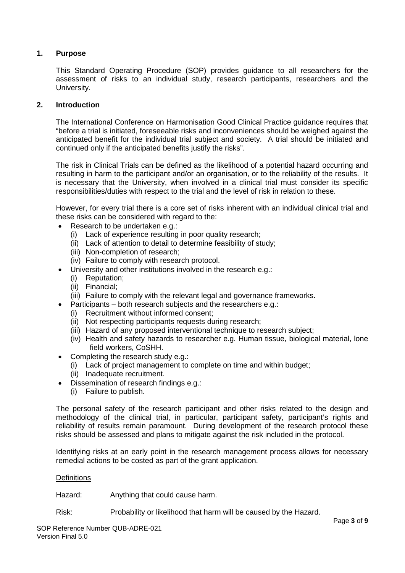## **1. Purpose**

This Standard Operating Procedure (SOP) provides guidance to all researchers for the assessment of risks to an individual study, research participants, researchers and the University.

## **2. Introduction**

The International Conference on Harmonisation Good Clinical Practice guidance requires that "before a trial is initiated, foreseeable risks and inconveniences should be weighed against the anticipated benefit for the individual trial subject and society. A trial should be initiated and continued only if the anticipated benefits justify the risks".

The risk in Clinical Trials can be defined as the likelihood of a potential hazard occurring and resulting in harm to the participant and/or an organisation, or to the reliability of the results. It is necessary that the University, when involved in a clinical trial must consider its specific responsibilities/duties with respect to the trial and the level of risk in relation to these.

However, for every trial there is a core set of risks inherent with an individual clinical trial and these risks can be considered with regard to the:

- Research to be undertaken e.g.:
	- (i) Lack of experience resulting in poor quality research;
	- (ii) Lack of attention to detail to determine feasibility of study;
	- (iii) Non-completion of research;
	- (iv) Failure to comply with research protocol.
- University and other institutions involved in the research e.g.:
	- (i) Reputation;
	- (ii) Financial;
	- (iii) Failure to comply with the relevant legal and governance frameworks.
- Participants both research subjects and the researchers e.g.:
	- (i) Recruitment without informed consent;
	- (ii) Not respecting participants requests during research;
	- (iii) Hazard of any proposed interventional technique to research subject;
	- (iv) Health and safety hazards to researcher e.g. Human tissue, biological material, lone field workers, CoSHH.
- Completing the research study e.g.:
	- (i) Lack of project management to complete on time and within budget;
	- (ii) Inadequate recruitment.
- Dissemination of research findings e.g.:
	- (i) Failure to publish.

The personal safety of the research participant and other risks related to the design and methodology of the clinical trial, in particular, participant safety, participant's rights and reliability of results remain paramount. During development of the research protocol these risks should be assessed and plans to mitigate against the risk included in the protocol.

Identifying risks at an early point in the research management process allows for necessary remedial actions to be costed as part of the grant application.

#### **Definitions**

Hazard: Anything that could cause harm.

Risk: Probability or likelihood that harm will be caused by the Hazard.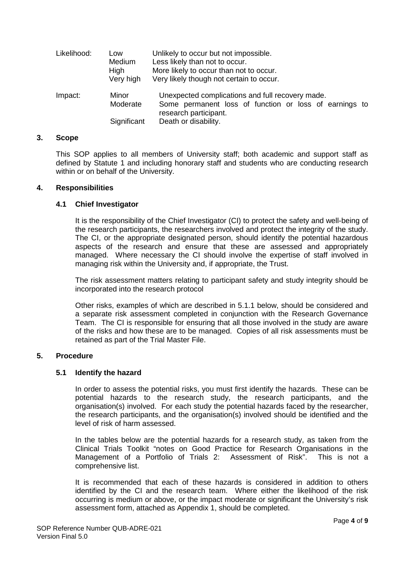| Likelihood: | Low<br>Medium<br>High<br>Very high | Unlikely to occur but not impossible.<br>Less likely than not to occur.<br>More likely to occur than not to occur.<br>Very likely though not certain to occur. |
|-------------|------------------------------------|----------------------------------------------------------------------------------------------------------------------------------------------------------------|
| Impact:     | Minor<br>Moderate<br>Significant   | Unexpected complications and full recovery made.<br>Some permanent loss of function or loss of earnings to<br>research participant.<br>Death or disability.    |

#### **3. Scope**

This SOP applies to all members of University staff; both academic and support staff as defined by Statute 1 and including honorary staff and students who are conducting research within or on behalf of the University.

### **4. Responsibilities**

## **4.1 Chief Investigator**

It is the responsibility of the Chief Investigator (CI) to protect the safety and well-being of the research participants, the researchers involved and protect the integrity of the study. The CI, or the appropriate designated person, should identify the potential hazardous aspects of the research and ensure that these are assessed and appropriately managed. Where necessary the CI should involve the expertise of staff involved in managing risk within the University and, if appropriate, the Trust.

The risk assessment matters relating to participant safety and study integrity should be incorporated into the research protocol

Other risks, examples of which are described in 5.1.1 below, should be considered and a separate risk assessment completed in conjunction with the Research Governance Team. The CI is responsible for ensuring that all those involved in the study are aware of the risks and how these are to be managed. Copies of all risk assessments must be retained as part of the Trial Master File.

## **5. Procedure**

## **5.1 Identify the hazard**

In order to assess the potential risks, you must first identify the hazards. These can be potential hazards to the research study, the research participants, and the organisation(s) involved. For each study the potential hazards faced by the researcher, the research participants, and the organisation(s) involved should be identified and the level of risk of harm assessed.

In the tables below are the potential hazards for a research study, as taken from the Clinical Trials Toolkit "notes on Good Practice for Research Organisations in the Management of a Portfolio of Trials 2: Assessment of Risk". This is not a comprehensive list.

It is recommended that each of these hazards is considered in addition to others identified by the CI and the research team. Where either the likelihood of the risk occurring is medium or above, or the impact moderate or significant the University's risk assessment form, attached as Appendix 1, should be completed.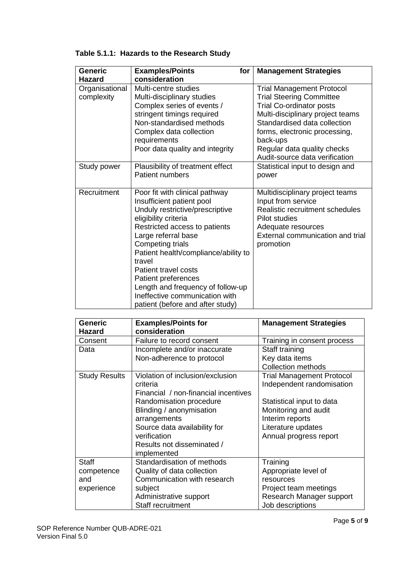| <b>Generic</b><br><b>Hazard</b> | <b>Examples/Points</b><br>for<br>consideration                                                                                                                                                                                                                                                                                                                                                                        | <b>Management Strategies</b>                                                                                                                                                            |
|---------------------------------|-----------------------------------------------------------------------------------------------------------------------------------------------------------------------------------------------------------------------------------------------------------------------------------------------------------------------------------------------------------------------------------------------------------------------|-----------------------------------------------------------------------------------------------------------------------------------------------------------------------------------------|
| Organisational                  | Multi-centre studies<br>Multi-disciplinary studies                                                                                                                                                                                                                                                                                                                                                                    | <b>Trial Management Protocol</b><br><b>Trial Steering Committee</b>                                                                                                                     |
| complexity                      | Complex series of events /<br>stringent timings required                                                                                                                                                                                                                                                                                                                                                              | <b>Trial Co-ordinator posts</b><br>Multi-disciplinary project teams                                                                                                                     |
|                                 | Non-standardised methods                                                                                                                                                                                                                                                                                                                                                                                              | Standardised data collection                                                                                                                                                            |
|                                 | Complex data collection<br>requirements                                                                                                                                                                                                                                                                                                                                                                               | forms, electronic processing,<br>back-ups                                                                                                                                               |
|                                 | Poor data quality and integrity                                                                                                                                                                                                                                                                                                                                                                                       | Regular data quality checks<br>Audit-source data verification                                                                                                                           |
| Study power                     | Plausibility of treatment effect<br><b>Patient numbers</b>                                                                                                                                                                                                                                                                                                                                                            | Statistical input to design and<br>power                                                                                                                                                |
| Recruitment                     | Poor fit with clinical pathway<br>Insufficient patient pool<br>Unduly restrictive/prescriptive<br>eligibility criteria<br>Restricted access to patients<br>Large referral base<br>Competing trials<br>Patient health/compliance/ability to<br>travel<br>Patient travel costs<br><b>Patient preferences</b><br>Length and frequency of follow-up<br>Ineffective communication with<br>patient (before and after study) | Multidisciplinary project teams<br>Input from service<br>Realistic recruitment schedules<br><b>Pilot studies</b><br>Adequate resources<br>External communication and trial<br>promotion |

## **Table 5.1.1: Hazards to the Research Study**

| <b>Generic</b>       | <b>Examples/Points for</b>           | <b>Management Strategies</b>     |
|----------------------|--------------------------------------|----------------------------------|
| <b>Hazard</b>        | consideration                        |                                  |
| Consent              | Failure to record consent            | Training in consent process      |
| Data                 | Incomplete and/or inaccurate         | Staff training                   |
|                      | Non-adherence to protocol            | Key data items                   |
|                      |                                      | <b>Collection methods</b>        |
| <b>Study Results</b> | Violation of inclusion/exclusion     | <b>Trial Management Protocol</b> |
|                      | criteria                             | Independent randomisation        |
|                      | Financial / non-financial incentives |                                  |
|                      | Randomisation procedure              | Statistical input to data        |
|                      | Blinding / anonymisation             | Monitoring and audit             |
|                      | arrangements                         | Interim reports                  |
|                      | Source data availability for         | Literature updates               |
|                      | verification                         | Annual progress report           |
|                      | Results not disseminated /           |                                  |
|                      | implemented                          |                                  |
| <b>Staff</b>         | Standardisation of methods           | Training                         |
| competence           | Quality of data collection           | Appropriate level of             |
| and                  | Communication with research          | resources                        |
| experience           | subject                              | Project team meetings            |
|                      | Administrative support               | Research Manager support         |
|                      | Staff recruitment                    | Job descriptions                 |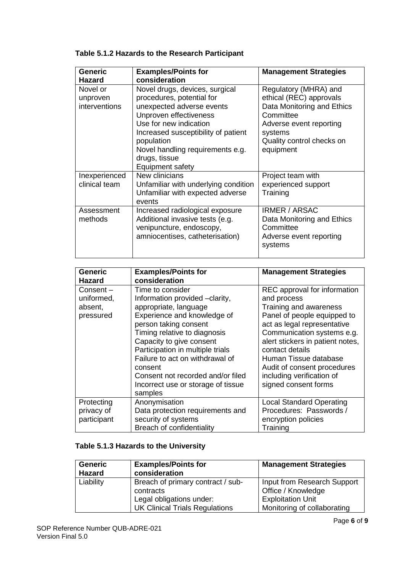| Generic<br><b>Hazard</b>              | <b>Examples/Points for</b><br>consideration                                                                                                                                                                                                                                | <b>Management Strategies</b>                                                                                                                                                |
|---------------------------------------|----------------------------------------------------------------------------------------------------------------------------------------------------------------------------------------------------------------------------------------------------------------------------|-----------------------------------------------------------------------------------------------------------------------------------------------------------------------------|
| Novel or<br>unproven<br>interventions | Novel drugs, devices, surgical<br>procedures, potential for<br>unexpected adverse events<br>Unproven effectiveness<br>Use for new indication<br>Increased susceptibility of patient<br>population<br>Novel handling requirements e.g.<br>drugs, tissue<br>Equipment safety | Regulatory (MHRA) and<br>ethical (REC) approvals<br>Data Monitoring and Ethics<br>Committee<br>Adverse event reporting<br>systems<br>Quality control checks on<br>equipment |
| Inexperienced<br>clinical team        | New clinicians<br>Unfamiliar with underlying condition<br>Unfamiliar with expected adverse<br>events                                                                                                                                                                       | Project team with<br>experienced support<br>Training                                                                                                                        |
| Assessment<br>methods                 | Increased radiological exposure<br>Additional invasive tests (e.g.<br>venipuncture, endoscopy,<br>amniocentises, catheterisation)                                                                                                                                          | <b>IRMER / ARSAC</b><br>Data Monitoring and Ethics<br>Committee<br>Adverse event reporting<br>systems                                                                       |

| <b>Generic</b><br>Hazard                       | <b>Examples/Points for</b><br>consideration                                                                                                                                                                                                                                                                                                                             | <b>Management Strategies</b>                                                                                                                                                                                                                                                                                                          |
|------------------------------------------------|-------------------------------------------------------------------------------------------------------------------------------------------------------------------------------------------------------------------------------------------------------------------------------------------------------------------------------------------------------------------------|---------------------------------------------------------------------------------------------------------------------------------------------------------------------------------------------------------------------------------------------------------------------------------------------------------------------------------------|
| Consent-<br>uniformed,<br>absent,<br>pressured | Time to consider<br>Information provided -clarity,<br>appropriate, language<br>Experience and knowledge of<br>person taking consent<br>Timing relative to diagnosis<br>Capacity to give consent<br>Participation in multiple trials<br>Failure to act on withdrawal of<br>consent<br>Consent not recorded and/or filed<br>Incorrect use or storage of tissue<br>samples | REC approval for information<br>and process<br>Training and awareness<br>Panel of people equipped to<br>act as legal representative<br>Communication systems e.g.<br>alert stickers in patient notes,<br>contact details<br>Human Tissue database<br>Audit of consent procedures<br>including verification of<br>signed consent forms |
| Protecting<br>privacy of<br>participant        | Anonymisation<br>Data protection requirements and<br>security of systems<br>Breach of confidentiality                                                                                                                                                                                                                                                                   | <b>Local Standard Operating</b><br>Procedures: Passwords /<br>encryption policies<br>Training                                                                                                                                                                                                                                         |

## **Table 5.1.3 Hazards to the University**

| <b>Generic</b><br><b>Hazard</b> | <b>Examples/Points for</b><br>consideration | <b>Management Strategies</b> |
|---------------------------------|---------------------------------------------|------------------------------|
| Liability                       | Breach of primary contract / sub-           | Input from Research Support  |
|                                 | contracts                                   | Office / Knowledge           |
|                                 | Legal obligations under:                    | <b>Exploitation Unit</b>     |
|                                 | <b>UK Clinical Trials Regulations</b>       | Monitoring of collaborating  |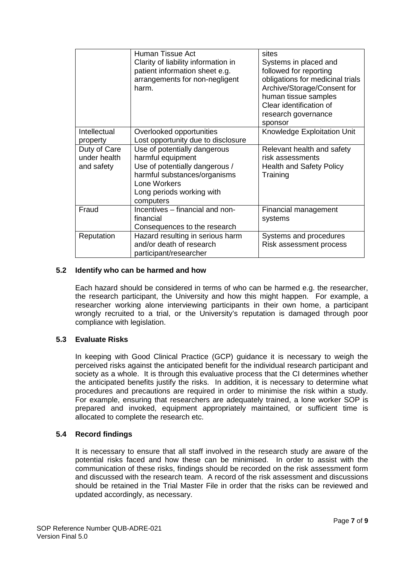|                                            | Human Tissue Act<br>Clarity of liability information in<br>patient information sheet e.g.<br>arrangements for non-negligent<br>harm.                                          | sites<br>Systems in placed and<br>followed for reporting<br>obligations for medicinal trials<br>Archive/Storage/Consent for<br>human tissue samples<br>Clear identification of<br>research governance<br>sponsor |
|--------------------------------------------|-------------------------------------------------------------------------------------------------------------------------------------------------------------------------------|------------------------------------------------------------------------------------------------------------------------------------------------------------------------------------------------------------------|
| Intellectual<br>property                   | Overlooked opportunities<br>Lost opportunity due to disclosure                                                                                                                | Knowledge Exploitation Unit                                                                                                                                                                                      |
| Duty of Care<br>under health<br>and safety | Use of potentially dangerous<br>harmful equipment<br>Use of potentially dangerous /<br>harmful substances/organisms<br>Lone Workers<br>Long periods working with<br>computers | Relevant health and safety<br>risk assessments<br><b>Health and Safety Policy</b><br>Training                                                                                                                    |
| Fraud                                      | Incentives - financial and non-<br>financial<br>Consequences to the research                                                                                                  | Financial management<br>systems                                                                                                                                                                                  |
| Reputation                                 | Hazard resulting in serious harm<br>and/or death of research<br>participant/researcher                                                                                        | Systems and procedures<br>Risk assessment process                                                                                                                                                                |

## **5.2 Identify who can be harmed and how**

Each hazard should be considered in terms of who can be harmed e.g. the researcher, the research participant, the University and how this might happen. For example, a researcher working alone interviewing participants in their own home, a participant wrongly recruited to a trial, or the University's reputation is damaged through poor compliance with legislation.

## **5.3 Evaluate Risks**

In keeping with Good Clinical Practice (GCP) guidance it is necessary to weigh the perceived risks against the anticipated benefit for the individual research participant and society as a whole. It is through this evaluative process that the CI determines whether the anticipated benefits justify the risks. In addition, it is necessary to determine what procedures and precautions are required in order to minimise the risk within a study. For example, ensuring that researchers are adequately trained, a lone worker SOP is prepared and invoked, equipment appropriately maintained, or sufficient time is allocated to complete the research etc.

## **5.4 Record findings**

It is necessary to ensure that all staff involved in the research study are aware of the potential risks faced and how these can be minimised. In order to assist with the communication of these risks, findings should be recorded on the risk assessment form and discussed with the research team. A record of the risk assessment and discussions should be retained in the Trial Master File in order that the risks can be reviewed and updated accordingly, as necessary.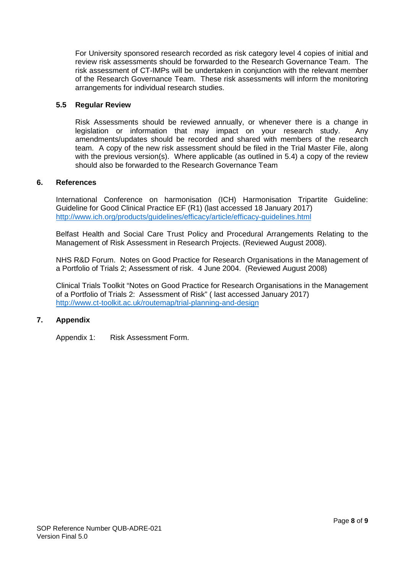For University sponsored research recorded as risk category level 4 copies of initial and review risk assessments should be forwarded to the Research Governance Team. The risk assessment of CT-IMPs will be undertaken in conjunction with the relevant member of the Research Governance Team. These risk assessments will inform the monitoring arrangements for individual research studies.

## **5.5 Regular Review**

Risk Assessments should be reviewed annually, or whenever there is a change in legislation or information that may impact on your research study. Any amendments/updates should be recorded and shared with members of the research team. A copy of the new risk assessment should be filed in the Trial Master File, along with the previous version(s). Where applicable (as outlined in 5.4) a copy of the review should also be forwarded to the Research Governance Team

## **6. References**

International Conference on harmonisation (ICH) Harmonisation Tripartite Guideline: Guideline for Good Clinical Practice EF (R1) (last accessed 18 January 2017) <http://www.ich.org/products/guidelines/efficacy/article/efficacy-guidelines.html>

Belfast Health and Social Care Trust Policy and Procedural Arrangements Relating to the Management of Risk Assessment in Research Projects. (Reviewed August 2008).

NHS R&D Forum. Notes on Good Practice for Research Organisations in the Management of a Portfolio of Trials 2; Assessment of risk. 4 June 2004. (Reviewed August 2008)

Clinical Trials Toolkit "Notes on Good Practice for Research Organisations in the Management of a Portfolio of Trials 2: Assessment of Risk" ( last accessed January 2017) <http://www.ct-toolkit.ac.uk/routemap/trial-planning-and-design>

## **7. Appendix**

Appendix 1: Risk Assessment Form.